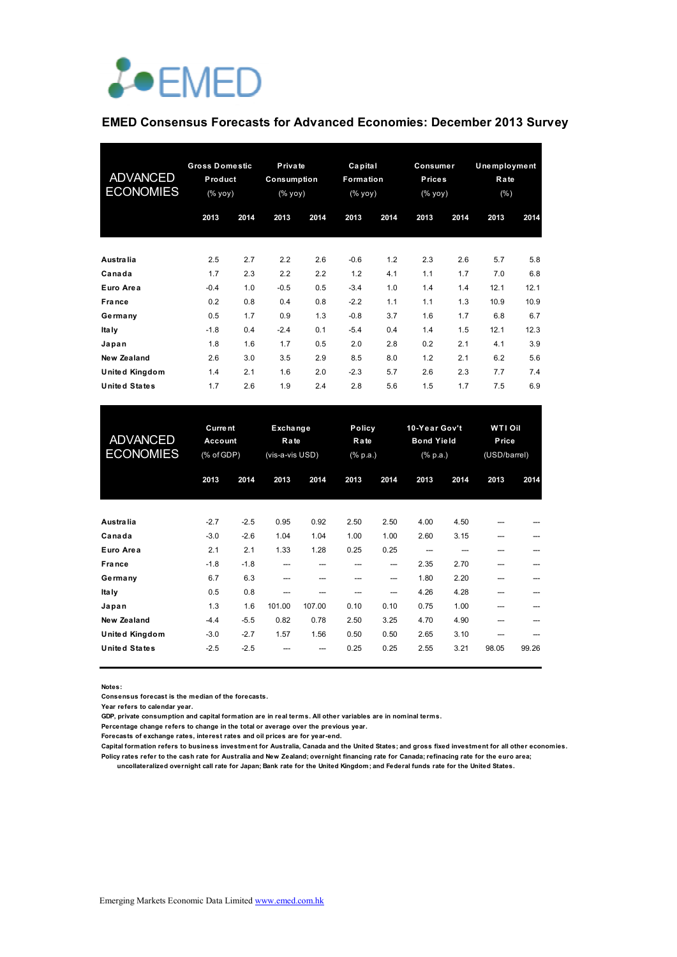

#### **EMED Consensus Forecasts for Advanced Economies: December 2013 Survey**

| <b>ADVANCED</b><br><b>ECONOMIES</b> | <b>Gross Domestic</b><br>Product<br>(% yoy) |      | Private<br>Consumption<br>(% yoy) |      | Capital<br>Formation<br>(% yoy) |      | Consumer<br><b>Prices</b><br>(% yoy) |      | <b>Unemployment</b><br>Rate<br>$(\% )$ |      |
|-------------------------------------|---------------------------------------------|------|-----------------------------------|------|---------------------------------|------|--------------------------------------|------|----------------------------------------|------|
|                                     | 2013                                        | 2014 | 2013                              | 2014 | 2013                            | 2014 | 2013                                 | 2014 | 2013                                   | 2014 |
| Australia                           | 2.5                                         | 2.7  | 2.2                               | 2.6  | $-0.6$                          | 1.2  | 2.3                                  | 2.6  | 5.7                                    | 5.8  |
| Canada                              | 1.7                                         | 2.3  | 2.2                               | 2.2  | 1.2                             | 4.1  | 1.1                                  | 1.7  | 7.0                                    | 6.8  |
| Euro Area                           | $-0.4$                                      | 1.0  | $-0.5$                            | 0.5  | $-3.4$                          | 1.0  | 1.4                                  | 1.4  | 12.1                                   | 12.1 |
| <b>France</b>                       | 0.2                                         | 0.8  | 0.4                               | 0.8  | $-2.2$                          | 1.1  | 1.1                                  | 1.3  | 10.9                                   | 10.9 |
| Germany                             | 0.5                                         | 1.7  | 0.9                               | 1.3  | $-0.8$                          | 3.7  | 1.6                                  | 1.7  | 6.8                                    | 6.7  |
| Ita Iy                              | $-1.8$                                      | 0.4  | $-2.4$                            | 0.1  | $-5.4$                          | 0.4  | 1.4                                  | 1.5  | 12.1                                   | 12.3 |
| Japan                               | 1.8                                         | 1.6  | 1.7                               | 0.5  | 2.0                             | 2.8  | 0.2                                  | 2.1  | 4.1                                    | 3.9  |
| New Zealand                         | 2.6                                         | 3.0  | 3.5                               | 2.9  | 8.5                             | 8.0  | 1.2                                  | 2.1  | 6.2                                    | 5.6  |
| United Kingdom                      | 1.4                                         | 2.1  | 1.6                               | 2.0  | $-2.3$                          | 5.7  | 2.6                                  | 2.3  | 7.7                                    | 7.4  |
| <b>United States</b>                | 1.7                                         | 2.6  | 1.9                               | 2.4  | 2.8                             | 5.6  | 1.5                                  | 1.7  | 7.5                                    | 6.9  |

| <b>ADVANCED</b><br><b>ECONOMIES</b> | <b>Current</b><br>Account<br>(% of GDP) |        | Exchange<br>Rate<br>(vis-a-vis USD) |        |      | Policy<br>Rate<br>(% p.a.) |      | 10-Year Gov't<br><b>Bond Yield</b><br>(% p.a.) |       | WTI Oil<br>Price<br>(USD/barrel) |  |
|-------------------------------------|-----------------------------------------|--------|-------------------------------------|--------|------|----------------------------|------|------------------------------------------------|-------|----------------------------------|--|
|                                     | 2013                                    | 2014   | 2013                                | 2014   | 2013 | 2014                       | 2013 | 2014                                           | 2013  | 2014                             |  |
| Australia                           | $-2.7$                                  | $-2.5$ | 0.95                                | 0.92   | 2.50 | 2.50                       | 4.00 | 4.50                                           |       |                                  |  |
| Canada                              | $-3.0$                                  | $-2.6$ | 1.04                                | 1.04   | 1.00 | 1.00                       | 2.60 | 3.15                                           | ---   |                                  |  |
| Euro Area                           | 2.1                                     | 2.1    | 1.33                                | 1.28   | 0.25 | 0.25                       |      |                                                | ---   |                                  |  |
| France                              | $-1.8$                                  | $-1.8$ | ---                                 | ---    | ---  | ---                        | 2.35 | 2.70                                           | ---   |                                  |  |
| Germany                             | 6.7                                     | 6.3    | ---                                 | ---    | ---  | ---                        | 1.80 | 2.20                                           | ---   |                                  |  |
| Ita Iy                              | 0.5                                     | 0.8    | ---                                 |        | ---  | ---                        | 4.26 | 4.28                                           |       |                                  |  |
| Japan                               | 1.3                                     | 1.6    | 101.00                              | 107.00 | 0.10 | 0.10                       | 0.75 | 1.00                                           |       |                                  |  |
| New Zealand                         | $-4.4$                                  | $-5.5$ | 0.82                                | 0.78   | 2.50 | 3.25                       | 4.70 | 4.90                                           | ---   |                                  |  |
| United Kingdom                      | $-3.0$                                  | $-2.7$ | 1.57                                | 1.56   | 0.50 | 0.50                       | 2.65 | 3.10                                           |       |                                  |  |
| United States                       | $-2.5$                                  | $-2.5$ |                                     |        | 0.25 | 0.25                       | 2.55 | 3.21                                           | 98.05 | 99.26                            |  |

**Notes:** 

**Consensus forecast is the median of the forecasts.**

**Year refers to calendar year.**

**GDP, private consumption and capital formation are in real terms. All other variables are in nominal terms.**

**Percentage change refers to change in the total or average over the previous year.**

**Forecasts of exchange rates, interest rates and oil prices are for year-end.**

**Capital formation refers to business investment for Australia, Canada and the United States; and gross fixed investment for all other economies. Policy rates refer to the cash rate for Australia and New Zealand; overnight financing rate for Canada; refinacing rate for the euro area; uncollateralized overnight call rate for Japan; Bank rate for the United Kingdom; and Federal funds rate for the United States.**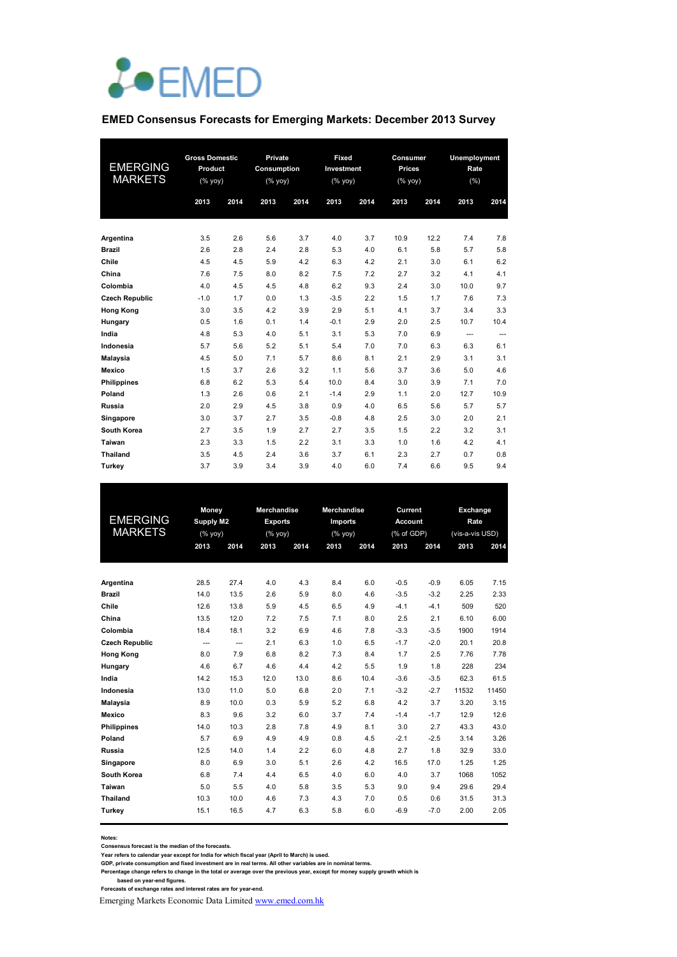

#### **EMED Consensus Forecasts for Emerging Markets: December 2013 Survey**

| <b>EMERGING</b><br><b>MARKETS</b> | <b>Gross Domestic</b><br>Product<br>(% |      | Private<br>Consumption<br>$(%$ (% yoy) |      | Fixed<br>Investment<br>(% yoy) |      | Consumer<br><b>Prices</b><br>(% |      | Unemployment<br>Rate<br>(% ) |      |
|-----------------------------------|----------------------------------------|------|----------------------------------------|------|--------------------------------|------|---------------------------------|------|------------------------------|------|
|                                   | 2013                                   | 2014 | 2013                                   | 2014 | 2013                           | 2014 | 2013                            | 2014 | 2013                         | 2014 |
| Argentina                         | 3.5                                    | 2.6  | 5.6                                    | 3.7  | 4.0                            | 3.7  | 10.9                            | 12.2 | 7.4                          | 7.8  |
| <b>Brazil</b>                     | 2.6                                    | 2.8  | 2.4                                    | 2.8  | 5.3                            | 4.0  | 6.1                             | 5.8  | 5.7                          | 5.8  |
| Chile                             | 4.5                                    | 4.5  | 5.9                                    | 4.2  | 6.3                            | 4.2  | 2.1                             | 3.0  | 6.1                          | 6.2  |
| China                             | 7.6                                    | 7.5  | 8.0                                    | 8.2  | 7.5                            | 7.2  | 2.7                             | 3.2  | 4.1                          | 4.1  |
| Colombia                          | 4.0                                    | 4.5  | 4.5                                    | 4.8  | 6.2                            | 9.3  | 2.4                             | 3.0  | 10.0                         | 9.7  |
| <b>Czech Republic</b>             | $-1.0$                                 | 1.7  | 0.0                                    | 1.3  | $-3.5$                         | 2.2  | 1.5                             | 1.7  | 7.6                          | 7.3  |
| <b>Hong Kong</b>                  | 3.0                                    | 3.5  | 4.2                                    | 3.9  | 2.9                            | 5.1  | 4.1                             | 3.7  | 3.4                          | 3.3  |
| Hungary                           | 0.5                                    | 1.6  | 0.1                                    | 1.4  | $-0.1$                         | 2.9  | 2.0                             | 2.5  | 10.7                         | 10.4 |
| India                             | 4.8                                    | 5.3  | 4.0                                    | 5.1  | 3.1                            | 5.3  | 7.0                             | 6.9  | ---                          | ---  |
| Indonesia                         | 5.7                                    | 5.6  | 5.2                                    | 5.1  | 5.4                            | 7.0  | 7.0                             | 6.3  | 6.3                          | 6.1  |
| <b>Malaysia</b>                   | 4.5                                    | 5.0  | 7.1                                    | 5.7  | 8.6                            | 8.1  | 2.1                             | 2.9  | 3.1                          | 3.1  |
| Mexico                            | 1.5                                    | 3.7  | 2.6                                    | 3.2  | 1.1                            | 5.6  | 3.7                             | 3.6  | 5.0                          | 4.6  |
| <b>Philippines</b>                | 6.8                                    | 6.2  | 5.3                                    | 5.4  | 10.0                           | 8.4  | 3.0                             | 3.9  | 7.1                          | 7.0  |
| Poland                            | 1.3                                    | 2.6  | 0.6                                    | 2.1  | $-1.4$                         | 2.9  | 1.1                             | 2.0  | 12.7                         | 10.9 |
| Russia                            | 2.0                                    | 2.9  | 4.5                                    | 3.8  | 0.9                            | 4.0  | 6.5                             | 5.6  | 5.7                          | 5.7  |
| Singapore                         | 3.0                                    | 3.7  | 2.7                                    | 3.5  | $-0.8$                         | 4.8  | 2.5                             | 3.0  | 2.0                          | 2.1  |
| South Korea                       | 2.7                                    | 3.5  | 1.9                                    | 2.7  | 2.7                            | 3.5  | 1.5                             | 2.2  | 3.2                          | 3.1  |
| Taiwan                            | 2.3                                    | 3.3  | 1.5                                    | 2.2  | 3.1                            | 3.3  | 1.0                             | 1.6  | 4.2                          | 4.1  |
| <b>Thailand</b>                   | 3.5                                    | 4.5  | 2.4                                    | 3.6  | 3.7                            | 6.1  | 2.3                             | 2.7  | 0.7                          | 0.8  |
| Turkey                            | 3.7                                    | 3.9  | 3.4                                    | 3.9  | 4.0                            | 6.0  | 7.4                             | 6.6  | 9.5                          | 9.4  |

|                       | Money                                                              |      | <b>Merchandise</b> |      | Merchandise |      | Current    |        | Exchange        |       |
|-----------------------|--------------------------------------------------------------------|------|--------------------|------|-------------|------|------------|--------|-----------------|-------|
| <b>EMERGING</b>       | <b>Supply M2</b>                                                   |      | <b>Exports</b>     |      | Imports     |      | Account    |        | Rate            |       |
| <b>MARKETS</b>        | $(% \mathsf{Y}^{\prime }\mathsf{Y}^{\prime }\mathsf{Y}^{\prime })$ |      | $(\%$ yoy)         |      | (% yoy)     |      | (% of GDP) |        | (vis-a-vis USD) |       |
|                       | 2013                                                               | 2014 | 2013               | 2014 | 2013        | 2014 | 2013       | 2014   | 2013            | 2014  |
|                       |                                                                    |      |                    |      |             |      |            |        |                 |       |
|                       |                                                                    |      |                    |      |             |      |            |        |                 |       |
| Argentina             | 28.5                                                               | 27.4 | 4.0                | 4.3  | 8.4         | 6.0  | $-0.5$     | $-0.9$ | 6.05            | 7.15  |
| <b>Brazil</b>         | 14.0                                                               | 13.5 | 2.6                | 5.9  | 8.0         | 4.6  | $-3.5$     | $-3.2$ | 2.25            | 2.33  |
| Chile                 | 12.6                                                               | 13.8 | 5.9                | 4.5  | 6.5         | 4.9  | $-4.1$     | $-4.1$ | 509             | 520   |
| China                 | 13.5                                                               | 12.0 | 7.2                | 7.5  | 7.1         | 8.0  | 2.5        | 2.1    | 6.10            | 6.00  |
| Colombia              | 18.4                                                               | 18.1 | 3.2                | 6.9  | 4.6         | 7.8  | $-3.3$     | $-3.5$ | 1900            | 1914  |
| <b>Czech Republic</b> | ---                                                                | ---  | 2.1                | 6.3  | 1.0         | 6.5  | $-1.7$     | $-2.0$ | 20.1            | 20.8  |
| <b>Hong Kong</b>      | 8.0                                                                | 7.9  | 6.8                | 8.2  | 7.3         | 8.4  | 1.7        | 2.5    | 7.76            | 7.78  |
| Hungary               | 4.6                                                                | 6.7  | 4.6                | 4.4  | 4.2         | 5.5  | 1.9        | 1.8    | 228             | 234   |
| India                 | 14.2                                                               | 15.3 | 12.0               | 13.0 | 8.6         | 10.4 | $-3.6$     | $-3.5$ | 62.3            | 61.5  |
| Indonesia             | 13.0                                                               | 11.0 | 5.0                | 6.8  | 2.0         | 7.1  | $-3.2$     | $-2.7$ | 11532           | 11450 |
| <b>Malaysia</b>       | 8.9                                                                | 10.0 | 0.3                | 5.9  | 5.2         | 6.8  | 4.2        | 3.7    | 3.20            | 3.15  |
| <b>Mexico</b>         | 8.3                                                                | 9.6  | 3.2                | 6.0  | 3.7         | 7.4  | $-1.4$     | $-1.7$ | 12.9            | 12.6  |
| <b>Philippines</b>    | 14.0                                                               | 10.3 | 2.8                | 7.8  | 4.9         | 8.1  | 3.0        | 2.7    | 43.3            | 43.0  |
| Poland                | 5.7                                                                | 6.9  | 4.9                | 4.9  | 0.8         | 4.5  | $-2.1$     | $-2.5$ | 3.14            | 3.26  |
| Russia                | 12.5                                                               | 14.0 | 1.4                | 2.2  | 6.0         | 4.8  | 2.7        | 1.8    | 32.9            | 33.0  |
| Singapore             | 8.0                                                                | 6.9  | 3.0                | 5.1  | 2.6         | 4.2  | 16.5       | 17.0   | 1.25            | 1.25  |
| South Korea           | 6.8                                                                | 7.4  | 4.4                | 6.5  | 4.0         | 6.0  | 4.0        | 3.7    | 1068            | 1052  |
| Taiwan                | 5.0                                                                | 5.5  | 4.0                | 5.8  | 3.5         | 5.3  | 9.0        | 9.4    | 29.6            | 29.4  |
| <b>Thailand</b>       | 10.3                                                               | 10.0 | 4.6                | 7.3  | 4.3         | 7.0  | 0.5        | 0.6    | 31.5            | 31.3  |
| Turkey                | 15.1                                                               | 16.5 | 4.7                | 6.3  | 5.8         | 6.0  | $-6.9$     | $-7.0$ | 2.00            | 2.05  |
|                       |                                                                    |      |                    |      |             |      |            |        |                 |       |

**Notes:** 

**Consensus forecast is the median of the forecasts.**

**Year refers to calendar year except for India for which fiscal year (April to March) is used. GDP, private consumption and fixed investment are in real terms. All other variables are in nominal terms.**

Percentage change refers to change in the total or average over the previous year, except for money supply growth which is<br>based on year-end figures.<br>Forecasts of exchange rates and interest rates are for year-end.

Emerging Markets Economic Data Limited www.emed.com.hk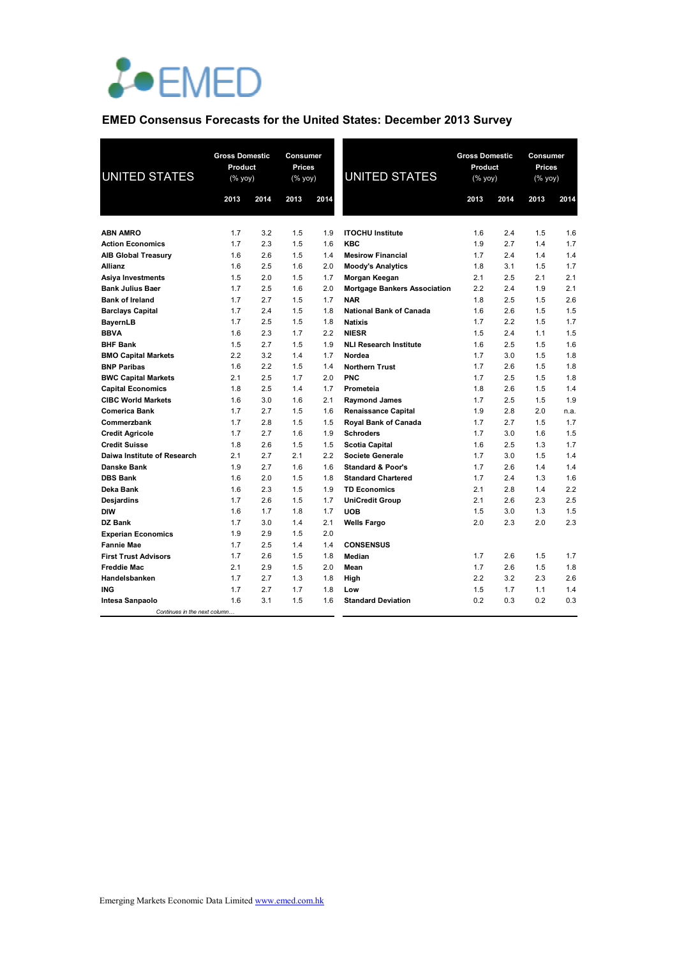

### **EMED Consensus Forecasts for the United States: December 2013 Survey**

| <b>UNITED STATES</b>          | <b>Gross Domestic</b><br>Product<br>(% yoy) |      | <b>Consumer</b><br><b>Prices</b><br>(% yoy) |      | <b>UNITED STATES</b>                | <b>Gross Domestic</b><br>Product<br>(% yoy) |      | Consumer<br>Prices<br>(% yoy) |      |
|-------------------------------|---------------------------------------------|------|---------------------------------------------|------|-------------------------------------|---------------------------------------------|------|-------------------------------|------|
|                               | 2013                                        | 2014 | 2013                                        | 2014 |                                     | 2013                                        | 2014 | 2013                          | 2014 |
|                               |                                             |      |                                             |      |                                     |                                             |      |                               |      |
| <b>ABN AMRO</b>               | 1.7                                         | 3.2  | 1.5                                         | 1.9  | <b>ITOCHU Institute</b>             | 1.6                                         | 2.4  | 1.5                           | 1.6  |
| <b>Action Economics</b>       | 1.7                                         | 2.3  | 1.5                                         | 1.6  | <b>KBC</b>                          | 1.9                                         | 2.7  | 1.4                           | 1.7  |
| <b>AIB Global Treasury</b>    | 1.6                                         | 2.6  | 1.5                                         | 1.4  | <b>Mesirow Financial</b>            | 1.7                                         | 2.4  | 1.4                           | 1.4  |
| <b>Allianz</b>                | 1.6                                         | 2.5  | 1.6                                         | 2.0  | <b>Moody's Analytics</b>            | 1.8                                         | 3.1  | 1.5                           | 1.7  |
| Asiya Investments             | 1.5                                         | 2.0  | 1.5                                         | 1.7  | Morgan Keegan                       | 2.1                                         | 2.5  | 2.1                           | 2.1  |
| <b>Bank Julius Baer</b>       | 1.7                                         | 2.5  | 1.6                                         | 2.0  | <b>Mortgage Bankers Association</b> | 2.2                                         | 2.4  | 1.9                           | 2.1  |
| <b>Bank of Ireland</b>        | 1.7                                         | 2.7  | 1.5                                         | 1.7  | <b>NAR</b>                          | 1.8                                         | 2.5  | 1.5                           | 2.6  |
| <b>Barclays Capital</b>       | 1.7                                         | 2.4  | 1.5                                         | 1.8  | <b>National Bank of Canada</b>      | 1.6                                         | 2.6  | 1.5                           | 1.5  |
| <b>BayernLB</b>               | 1.7                                         | 2.5  | 1.5                                         | 1.8  | <b>Natixis</b>                      | 1.7                                         | 2.2  | 1.5                           | 1.7  |
| <b>BBVA</b>                   | 1.6                                         | 2.3  | 1.7                                         | 2.2  | <b>NIESR</b>                        | 1.5                                         | 2.4  | 1.1                           | 1.5  |
| <b>BHF Bank</b>               | 1.5                                         | 2.7  | 1.5                                         | 1.9  | <b>NLI Research Institute</b>       | 1.6                                         | 2.5  | 1.5                           | 1.6  |
| <b>BMO Capital Markets</b>    | 2.2                                         | 3.2  | 1.4                                         | 1.7  | Nordea                              | 1.7                                         | 3.0  | 1.5                           | 1.8  |
| <b>BNP Paribas</b>            | 1.6                                         | 2.2  | 1.5                                         | 1.4  | <b>Northern Trust</b>               | 1.7                                         | 2.6  | 1.5                           | 1.8  |
| <b>BWC Capital Markets</b>    | 2.1                                         | 2.5  | 1.7                                         | 2.0  | <b>PNC</b>                          | 1.7                                         | 2.5  | 1.5                           | 1.8  |
| <b>Capital Economics</b>      | 1.8                                         | 2.5  | 1.4                                         | 1.7  | Prometeia                           | 1.8                                         | 2.6  | 1.5                           | 1.4  |
| <b>CIBC World Markets</b>     | 1.6                                         | 3.0  | 1.6                                         | 2.1  | <b>Raymond James</b>                | 1.7                                         | 2.5  | 1.5                           | 1.9  |
| <b>Comerica Bank</b>          | 1.7                                         | 2.7  | 1.5                                         | 1.6  | <b>Renaissance Capital</b>          | 1.9                                         | 2.8  | 2.0                           | n.a. |
| Commerzbank                   | 1.7                                         | 2.8  | 1.5                                         | 1.5  | Royal Bank of Canada                | 1.7                                         | 2.7  | 1.5                           | 1.7  |
| <b>Credit Agricole</b>        | 1.7                                         | 2.7  | 1.6                                         | 1.9  | <b>Schroders</b>                    | 1.7                                         | 3.0  | 1.6                           | 1.5  |
| <b>Credit Suisse</b>          | 1.8                                         | 2.6  | 1.5                                         | 1.5  | <b>Scotia Capital</b>               | 1.6                                         | 2.5  | 1.3                           | 1.7  |
| Daiwa Institute of Research   | 2.1                                         | 2.7  | 2.1                                         | 2.2  | <b>Societe Generale</b>             | 1.7                                         | 3.0  | 1.5                           | 1.4  |
| Danske Bank                   | 1.9                                         | 2.7  | 1.6                                         | 1.6  | <b>Standard &amp; Poor's</b>        | 1.7                                         | 2.6  | 1.4                           | 1.4  |
| <b>DBS Bank</b>               | 1.6                                         | 2.0  | 1.5                                         | 1.8  | <b>Standard Chartered</b>           | 1.7                                         | 2.4  | 1.3                           | 1.6  |
| Deka Bank                     | 1.6                                         | 2.3  | 1.5                                         | 1.9  | <b>TD Economics</b>                 | 2.1                                         | 2.8  | 1.4                           | 2.2  |
| Desjardins                    | 1.7                                         | 2.6  | 1.5                                         | 1.7  | <b>UniCredit Group</b>              | 2.1                                         | 2.6  | 2.3                           | 2.5  |
| <b>DIW</b>                    | 1.6                                         | 1.7  | 1.8                                         | 1.7  | <b>UOB</b>                          | 1.5                                         | 3.0  | 1.3                           | 1.5  |
| DZ Bank                       | 1.7                                         | 3.0  | 1.4                                         | 2.1  | <b>Wells Fargo</b>                  | 2.0                                         | 2.3  | 2.0                           | 2.3  |
| <b>Experian Economics</b>     | 1.9                                         | 2.9  | 1.5                                         | 2.0  |                                     |                                             |      |                               |      |
| <b>Fannie Mae</b>             | 1.7                                         | 2.5  | 1.4                                         | 1.4  | <b>CONSENSUS</b>                    |                                             |      |                               |      |
| <b>First Trust Advisors</b>   | 1.7                                         | 2.6  | 1.5                                         | 1.8  | Median                              | 1.7                                         | 2.6  | 1.5                           | 1.7  |
| <b>Freddie Mac</b>            | 2.1                                         | 2.9  | 1.5                                         | 2.0  | Mean                                | 1.7                                         | 2.6  | 1.5                           | 1.8  |
| Handelsbanken                 | 1.7                                         | 2.7  | 1.3                                         | 1.8  | High                                | 2.2                                         | 3.2  | 2.3                           | 2.6  |
| <b>ING</b>                    | 1.7                                         | 2.7  | 1.7                                         | 1.8  | Low                                 | 1.5                                         | 1.7  | 1.1                           | 1.4  |
| Intesa Sanpaolo               | 1.6                                         | 3.1  | 1.5                                         | 1.6  | <b>Standard Deviation</b>           | 0.2                                         | 0.3  | 0.2                           | 0.3  |
| Continues in the next column. |                                             |      |                                             |      |                                     |                                             |      |                               |      |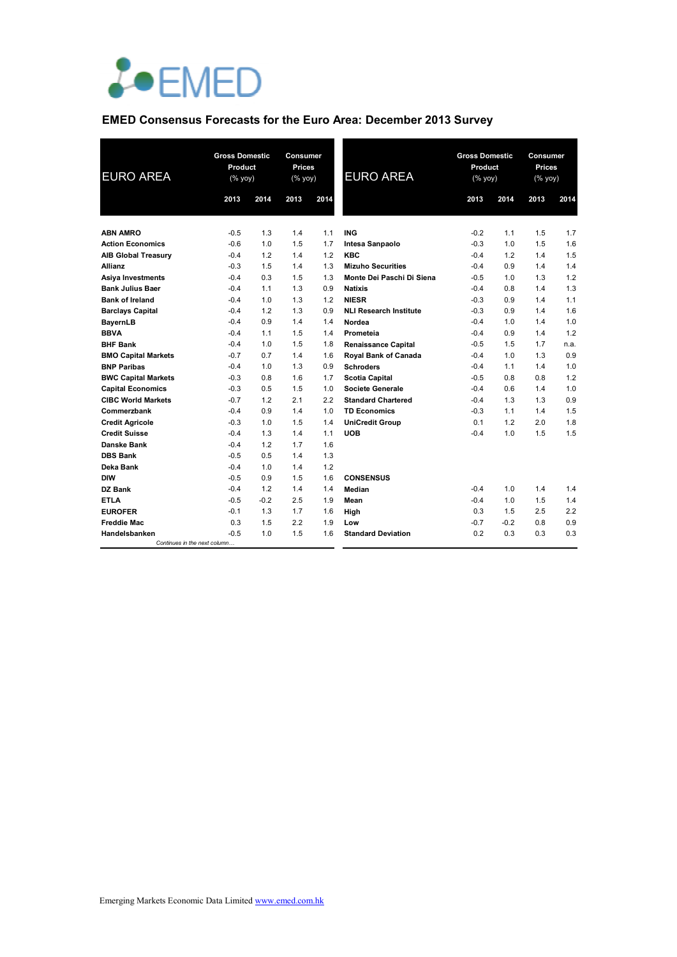

### **EMED Consensus Forecasts for the Euro Area: December 2013 Survey**

| <b>EURO AREA</b>                               | 2013             | <b>Gross Domestic</b><br>Product<br>(% yoy)<br>2014 |            | <b>Consumer</b><br><b>Prices</b><br>(% yoy)<br>2014 | <b>EURO AREA</b>                     | <b>Gross Domestic</b><br>Product<br>(% yoy)<br>2013 | 2014   | Consumer<br><b>Prices</b><br>(% yoy)<br>2013 | 2014 |
|------------------------------------------------|------------------|-----------------------------------------------------|------------|-----------------------------------------------------|--------------------------------------|-----------------------------------------------------|--------|----------------------------------------------|------|
|                                                |                  |                                                     |            |                                                     |                                      |                                                     |        |                                              |      |
| <b>ABN AMRO</b>                                | $-0.5$           | 1.3                                                 | 1.4        | 1.1                                                 | <b>ING</b>                           | $-0.2$                                              | 1.1    | 1.5                                          | 1.7  |
| <b>Action Economics</b>                        | $-0.6$           | 1.0                                                 | 1.5        | 1.7                                                 | Intesa Sanpaolo                      | $-0.3$                                              | 1.0    | 1.5                                          | 1.6  |
|                                                | $-0.4$           | 1.2                                                 | 1.4        | 1.2                                                 | <b>KBC</b>                           | $-0.4$                                              | 1.2    | 1.4                                          | 1.5  |
| <b>AIB Global Treasury</b><br>Allianz          | $-0.3$           | 1.5                                                 | 1.4        | 1.3                                                 | <b>Mizuho Securities</b>             | $-0.4$                                              | 0.9    | 1.4                                          | 1.4  |
|                                                | $-0.4$           | 0.3                                                 | 1.5        | 1.3                                                 | Monte Dei Paschi Di Siena            | $-0.5$                                              | 1.0    | 1.3                                          | 1.2  |
| Asiya Investments<br><b>Bank Julius Baer</b>   | $-0.4$           | 1.1                                                 | 1.3        | 0.9                                                 | <b>Natixis</b>                       | $-0.4$                                              | 0.8    | 1.4                                          | 1.3  |
| <b>Bank of Ireland</b>                         | $-0.4$           | 1.0                                                 | 1.3        | 1.2                                                 | <b>NIESR</b>                         | $-0.3$                                              | 0.9    | 1.4                                          | 1.1  |
| <b>Barclays Capital</b>                        | $-0.4$           | 1.2                                                 | 1.3        | 0.9                                                 | <b>NLI Research Institute</b>        | $-0.3$                                              | 0.9    | 1.4                                          | 1.6  |
| <b>BayernLB</b>                                | $-0.4$           | 0.9                                                 | 1.4        | 1.4                                                 | Nordea                               | $-0.4$                                              | 1.0    | 1.4                                          | 1.0  |
| <b>BBVA</b>                                    | $-0.4$           | 1.1                                                 | 1.5        | 1.4                                                 | Prometeia                            | $-0.4$                                              | 0.9    | 1.4                                          | 1.2  |
| <b>BHF Bank</b>                                | $-0.4$           | 1.0                                                 | 1.5        | 1.8                                                 | <b>Renaissance Capital</b>           | $-0.5$                                              | 1.5    | 1.7                                          | n.a. |
| <b>BMO Capital Markets</b>                     | $-0.7$           | 0.7                                                 | 1.4        | 1.6                                                 | Royal Bank of Canada                 | $-0.4$                                              | 1.0    | 1.3                                          | 0.9  |
| <b>BNP Paribas</b>                             | $-0.4$           | 1.0                                                 | 1.3        | 0.9                                                 | <b>Schroders</b>                     | $-0.4$                                              | 1.1    | 1.4                                          | 1.0  |
| <b>BWC Capital Markets</b>                     | $-0.3$           | 0.8                                                 | 1.6        | 1.7                                                 | <b>Scotia Capital</b>                | $-0.5$                                              | 0.8    | 0.8                                          | 1.2  |
| <b>Capital Economics</b>                       | $-0.3$           | 0.5                                                 | 1.5        | 1.0                                                 | <b>Societe Generale</b>              | $-0.4$                                              | 0.6    | 1.4                                          | 1.0  |
| <b>CIBC World Markets</b>                      | $-0.7$           | 1.2                                                 | 2.1        | 2.2                                                 | <b>Standard Chartered</b>            | $-0.4$                                              | 1.3    | 1.3                                          | 0.9  |
|                                                | $-0.4$           | 0.9                                                 | 1.4        | 1.0                                                 |                                      | $-0.3$                                              | 1.1    | 1.4                                          | 1.5  |
| Commerzbank                                    | $-0.3$           | 1.0                                                 | 1.5        |                                                     | <b>TD Economics</b>                  | 0.1                                                 | 1.2    | 2.0                                          | 1.8  |
| <b>Credit Agricole</b><br><b>Credit Suisse</b> | $-0.4$           |                                                     | 1.4        | 1.4                                                 | <b>UniCredit Group</b><br><b>UOB</b> | $-0.4$                                              | 1.0    | 1.5                                          | 1.5  |
|                                                |                  | 1.3                                                 |            | 1.1                                                 |                                      |                                                     |        |                                              |      |
| Danske Bank                                    | $-0.4$<br>$-0.5$ | 1.2                                                 | 1.7        | 1.6<br>1.3                                          |                                      |                                                     |        |                                              |      |
| <b>DBS Bank</b>                                |                  | 0.5                                                 | 1.4<br>1.4 | 1.2                                                 |                                      |                                                     |        |                                              |      |
| Deka Bank                                      | $-0.4$<br>$-0.5$ | 1.0<br>0.9                                          |            |                                                     |                                      |                                                     |        |                                              |      |
| <b>DIW</b>                                     |                  | 1.2                                                 | 1.5        | 1.6                                                 | <b>CONSENSUS</b>                     |                                                     |        |                                              |      |
| DZ Bank                                        | $-0.4$           |                                                     | 1.4        | 1.4                                                 | Median                               | $-0.4$                                              | 1.0    | 1.4                                          | 1.4  |
| <b>ETLA</b>                                    | $-0.5$           | $-0.2$                                              | 2.5        | 1.9                                                 | Mean                                 | $-0.4$                                              | 1.0    | 1.5                                          | 1.4  |
| <b>EUROFER</b>                                 | $-0.1$           | 1.3                                                 | 1.7        | 1.6                                                 | High                                 | 0.3                                                 | 1.5    | 2.5                                          | 2.2  |
| <b>Freddie Mac</b>                             | 0.3              | 1.5                                                 | 2.2        | 1.9                                                 | Low                                  | $-0.7$                                              | $-0.2$ | 0.8                                          | 0.9  |
| Handelsbanken<br>Continues in the next column  | $-0.5$           | 1.0                                                 | 1.5        | 1.6                                                 | <b>Standard Deviation</b>            | 0.2                                                 | 0.3    | 0.3                                          | 0.3  |
|                                                |                  |                                                     |            |                                                     |                                      |                                                     |        |                                              |      |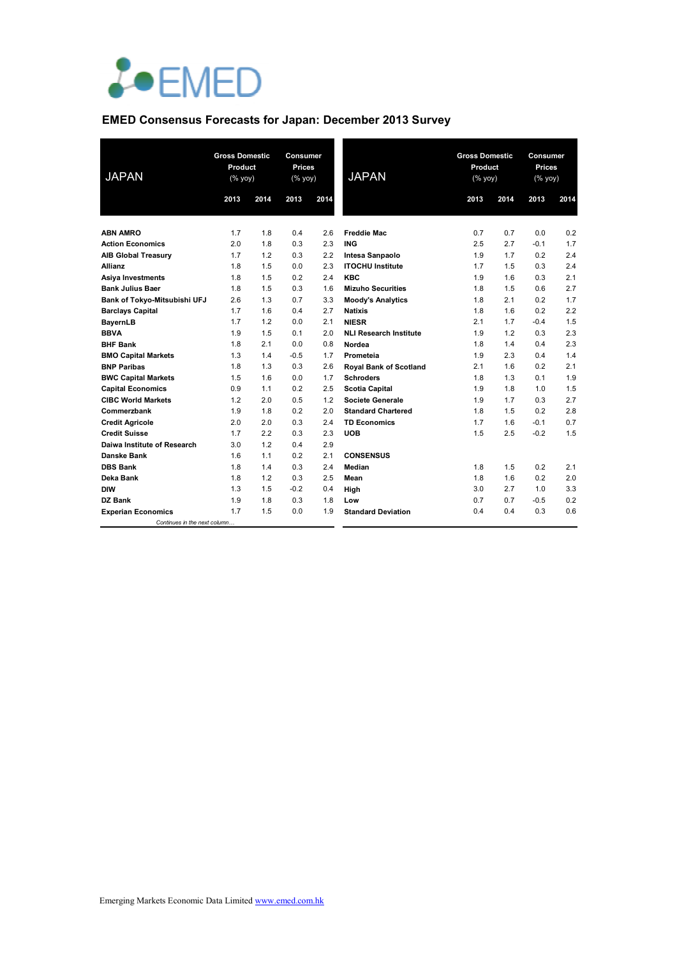

# **EMED Consensus Forecasts for Japan: December 2013 Survey**

| <b>JAPAN</b>                  | <b>Gross Domestic</b><br>Product<br>(% yoy) |      | <b>Consumer</b><br><b>Prices</b><br>(% yoy) |      | <b>JAPAN</b>                  | <b>Gross Domestic</b><br>Product<br>(% yoy) |      | <b>Consumer</b><br><b>Prices</b><br>(% yoy) |      |
|-------------------------------|---------------------------------------------|------|---------------------------------------------|------|-------------------------------|---------------------------------------------|------|---------------------------------------------|------|
|                               | 2013                                        | 2014 | 2013                                        | 2014 |                               | 2013                                        | 2014 | 2013                                        | 2014 |
|                               |                                             |      |                                             |      |                               |                                             |      |                                             |      |
| <b>ABN AMRO</b>               | 1.7                                         | 1.8  | 0.4                                         | 2.6  | <b>Freddie Mac</b>            | 0.7                                         | 0.7  | 0.0                                         | 0.2  |
| <b>Action Economics</b>       | 2.0                                         | 1.8  | 0.3                                         | 2.3  | <b>ING</b>                    | 2.5                                         | 2.7  | $-0.1$                                      | 1.7  |
| <b>AIB Global Treasury</b>    | 1.7                                         | 1.2  | 0.3                                         | 2.2  | Intesa Sanpaolo               | 1.9                                         | 1.7  | 0.2                                         | 2.4  |
| <b>Allianz</b>                | 1.8                                         | 1.5  | 0.0                                         | 2.3  | <b>ITOCHU Institute</b>       | 1.7                                         | 1.5  | 0.3                                         | 2.4  |
| <b>Asiya Investments</b>      | 1.8                                         | 1.5  | 0.2                                         | 2.4  | <b>KBC</b>                    | 1.9                                         | 1.6  | 0.3                                         | 2.1  |
| <b>Bank Julius Baer</b>       | 1.8                                         | 1.5  | 0.3                                         | 1.6  | <b>Mizuho Securities</b>      | 1.8                                         | 1.5  | 0.6                                         | 2.7  |
| Bank of Tokyo-Mitsubishi UFJ  | 2.6                                         | 1.3  | 0.7                                         | 3.3  | <b>Moody's Analytics</b>      | 1.8                                         | 2.1  | 0.2                                         | 1.7  |
| <b>Barclays Capital</b>       | 1.7                                         | 1.6  | 0.4                                         | 2.7  | <b>Natixis</b>                | 1.8                                         | 1.6  | 0.2                                         | 2.2  |
| <b>BayernLB</b>               | 1.7                                         | 1.2  | 0.0                                         | 2.1  | <b>NIESR</b>                  | 2.1                                         | 1.7  | $-0.4$                                      | 1.5  |
| <b>BBVA</b>                   | 1.9                                         | 1.5  | 0.1                                         | 2.0  | <b>NLI Research Institute</b> | 1.9                                         | 1.2  | 0.3                                         | 2.3  |
| <b>BHF Bank</b>               | 1.8                                         | 2.1  | 0.0                                         | 0.8  | Nordea                        | 1.8                                         | 1.4  | 0.4                                         | 2.3  |
| <b>BMO Capital Markets</b>    | 1.3                                         | 1.4  | $-0.5$                                      | 1.7  | Prometeia                     | 1.9                                         | 2.3  | 0.4                                         | 1.4  |
| <b>BNP Paribas</b>            | 1.8                                         | 1.3  | 0.3                                         | 2.6  | <b>Royal Bank of Scotland</b> | 2.1                                         | 1.6  | 0.2                                         | 2.1  |
| <b>BWC Capital Markets</b>    | 1.5                                         | 1.6  | 0.0                                         | 1.7  | <b>Schroders</b>              | 1.8                                         | 1.3  | 0.1                                         | 1.9  |
| <b>Capital Economics</b>      | 0.9                                         | 1.1  | 0.2                                         | 2.5  | <b>Scotia Capital</b>         | 1.9                                         | 1.8  | 1.0                                         | 1.5  |
| <b>CIBC World Markets</b>     | 1.2                                         | 2.0  | 0.5                                         | 1.2  | Societe Generale              | 1.9                                         | 1.7  | 0.3                                         | 2.7  |
| Commerzbank                   | 1.9                                         | 1.8  | 0.2                                         | 2.0  | <b>Standard Chartered</b>     | 1.8                                         | 1.5  | 0.2                                         | 2.8  |
| <b>Credit Agricole</b>        | 2.0                                         | 2.0  | 0.3                                         | 2.4  | <b>TD Economics</b>           | 1.7                                         | 1.6  | $-0.1$                                      | 0.7  |
| <b>Credit Suisse</b>          | 1.7                                         | 2.2  | 0.3                                         | 2.3  | <b>UOB</b>                    | 1.5                                         | 2.5  | $-0.2$                                      | 1.5  |
| Daiwa Institute of Research   | 3.0                                         | 1.2  | 0.4                                         | 2.9  |                               |                                             |      |                                             |      |
| Danske Bank                   | 1.6                                         | 1.1  | 0.2                                         | 2.1  | <b>CONSENSUS</b>              |                                             |      |                                             |      |
| <b>DBS Bank</b>               | 1.8                                         | 1.4  | 0.3                                         | 2.4  | Median                        | 1.8                                         | 1.5  | 0.2                                         | 2.1  |
| Deka Bank                     | 1.8                                         | 1.2  | 0.3                                         | 2.5  | Mean                          | 1.8                                         | 1.6  | 0.2                                         | 2.0  |
| <b>DIW</b>                    | 1.3                                         | 1.5  | $-0.2$                                      | 0.4  | High                          | 3.0                                         | 2.7  | 1.0                                         | 3.3  |
| DZ Bank                       | 1.9                                         | 1.8  | 0.3                                         | 1.8  | Low                           | 0.7                                         | 0.7  | $-0.5$                                      | 0.2  |
| <b>Experian Economics</b>     | 1.7                                         | 1.5  | 0.0                                         | 1.9  | <b>Standard Deviation</b>     | 0.4                                         | 0.4  | 0.3                                         | 0.6  |
| Continues in the next column. |                                             |      |                                             |      |                               |                                             |      |                                             |      |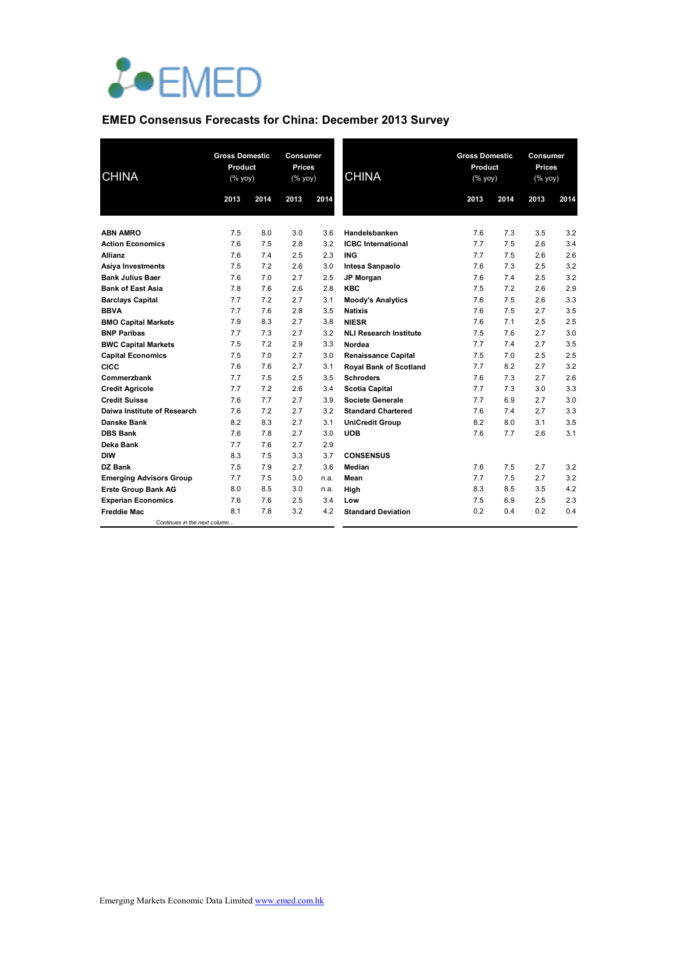

## **EMED Consensus Forecasts for China: December 2013 Survey**

| <b>CHINA</b>                   | <b>Gross Domestic</b><br>Product<br>$(% \mathsf{Y}^{\prime }\mathsf{Y}^{\prime }\mathsf{Y}^{\prime })$ |            | Consumer<br><b>Prices</b><br>(% yoy) |            | <b>CHINA</b>                   | <b>Gross Domestic</b><br>Product<br>$(\%$ yoy) |      | <b>Consumer</b><br><b>Prices</b><br>(% yoy) |            |
|--------------------------------|--------------------------------------------------------------------------------------------------------|------------|--------------------------------------|------------|--------------------------------|------------------------------------------------|------|---------------------------------------------|------------|
|                                | 2013                                                                                                   | 2014       | 2013                                 | 2014       |                                | 2013                                           | 2014 | 2013                                        | 2014       |
|                                |                                                                                                        |            |                                      |            |                                |                                                |      |                                             |            |
| <b>ABN AMRO</b>                | 7.5                                                                                                    | 8.0        | 3.0                                  | 3.6        | Handelsbanken                  | 7.6                                            | 7.3  | 3.5                                         | 3.2<br>3.4 |
| <b>Action Economics</b>        | 7.6                                                                                                    | 7.5        | 2.8                                  | 3.2        | <b>ICBC</b> International      | 7.7                                            | 7.5  | 2.6                                         |            |
| <b>Allianz</b>                 | 7.6                                                                                                    | 7.4        | 2.5                                  | 2.3        | <b>ING</b>                     | 7.7                                            | 7.5  | 2.6                                         | 2.6        |
| Asiya Investments              | 7.5<br>7.6                                                                                             | 7.2<br>7.0 | 2.6                                  | 3.0        | Intesa Sanpaolo                | 7.6                                            | 7.3  | 2.5<br>2.5                                  | 3.2<br>3.2 |
| <b>Bank Julius Baer</b>        |                                                                                                        |            | 2.7                                  | 2.5        | JP Morgan                      | 7.6                                            | 7.4  |                                             |            |
| <b>Bank of East Asia</b>       | 7.8                                                                                                    | 7.6        | 2.6                                  | 2.8        | <b>KBC</b>                     | 7.5                                            | 7.2  | 2.6                                         | 2.9        |
| <b>Barclays Capital</b>        | 7.7                                                                                                    | 7.2        | 2.7                                  | 3.1        | <b>Moody's Analytics</b>       | 7.6                                            | 7.5  | 2.6                                         | 3.3        |
| <b>BBVA</b>                    | 7.7                                                                                                    | 7.6        | 2.8                                  | 3.5        | <b>Natixis</b><br><b>NIESR</b> | 7.6                                            | 7.5  | 2.7                                         | 3.5<br>2.5 |
| <b>BMO Capital Markets</b>     | 7.9                                                                                                    | 8.3        | 2.7                                  | 3.8        |                                | 7.6                                            | 7.1  | 2.5<br>2.7                                  | 3.0        |
| <b>BNP Paribas</b>             | 7.7<br>7.5                                                                                             | 7.3        | 2.7<br>2.9                           | 3.2<br>3.3 | <b>NLI Research Institute</b>  | 7.5                                            | 7.6  | 2.7                                         | 3.5        |
| <b>BWC Capital Markets</b>     |                                                                                                        | 7.2        |                                      |            | Nordea                         | 7.7                                            | 7.4  | 2.5                                         | 2.5        |
| <b>Capital Economics</b>       | 7.5                                                                                                    | 7.0        | 2.7                                  | 3.0        | <b>Renaissance Capital</b>     | 7.5                                            | 7.0  |                                             |            |
| CICC                           | 7.6                                                                                                    | 7.6        | 2.7                                  | 3.1        | <b>Royal Bank of Scotland</b>  | 7.7                                            | 8.2  | 2.7                                         | 3.2        |
| Commerzbank                    | 7.7                                                                                                    | 7.5        | 2.5                                  | 3.5        | <b>Schroders</b>               | 7.6                                            | 7.3  | 2.7                                         | 2.6        |
| <b>Credit Agricole</b>         | 7.7                                                                                                    | 7.2        | 2.6                                  | 3.4        | <b>Scotia Capital</b>          | 7.7                                            | 7.3  | 3.0                                         | 3.3        |
| <b>Credit Suisse</b>           | 7.6                                                                                                    | 7.7        | 2.7                                  | 3.9        | <b>Societe Generale</b>        | 7.7                                            | 6.9  | 2.7                                         | 3.0        |
| Daiwa Institute of Research    | 7.6                                                                                                    | 7.2        | 2.7                                  | 3.2        | <b>Standard Chartered</b>      | 7.6                                            | 7.4  | 2.7                                         | 3.3        |
| Danske Bank                    | 8.2                                                                                                    | 8.3        | 2.7                                  | 3.1        | <b>UniCredit Group</b>         | 8.2                                            | 8.0  | 3.1                                         | 3.5        |
| <b>DBS Bank</b>                | 7.6                                                                                                    | 7.8        | 2.7                                  | 3.0        | <b>UOB</b>                     | 7.6                                            | 7.7  | 2.6                                         | 3.1        |
| Deka Bank                      | 7.7                                                                                                    | 7.6        | 2.7                                  | 2.9        |                                |                                                |      |                                             |            |
| <b>DIW</b>                     | 8.3                                                                                                    | 7.5        | 3.3                                  | 3.7        | <b>CONSENSUS</b>               |                                                |      |                                             |            |
| DZ Bank                        | 7.5                                                                                                    | 7.9        | 2.7                                  | 3.6        | Median                         | 7.6                                            | 7.5  | 2.7                                         | 3.2        |
| <b>Emerging Advisors Group</b> | 7.7                                                                                                    | 7.5        | 3.0                                  | n.a.       | Mean                           | 7.7                                            | 7.5  | 2.7                                         | 3.2        |
| <b>Erste Group Bank AG</b>     | 8.0                                                                                                    | 8.5        | 3.0                                  | n.a.       | High                           | 8.3                                            | 8.5  | 3.5                                         | 4.2        |
| <b>Experian Economics</b>      | 7.6                                                                                                    | 7.6        | 2.5                                  | 3.4        | Low                            | 7.5                                            | 6.9  | 2.5                                         | 2.3        |
| <b>Freddie Mac</b>             | 8.1                                                                                                    | 7.8        | 3.2                                  | 4.2        | <b>Standard Deviation</b>      | 0.2                                            | 0.4  | 0.2                                         | 0.4        |
| Continues in the next column   |                                                                                                        |            |                                      |            |                                |                                                |      |                                             |            |